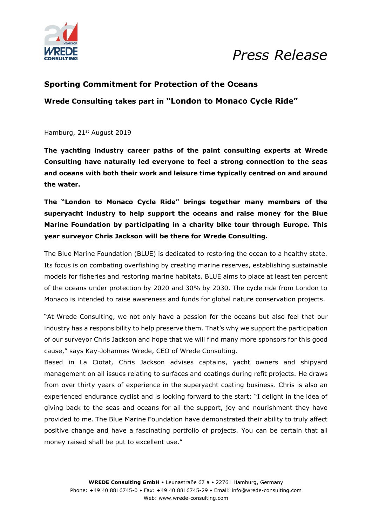

# *Press Release*

### **Sporting Commitment for Protection of the Oceans**

**Wrede Consulting takes part in "London to Monaco Cycle Ride"**

Hamburg, 21<sup>st</sup> August 2019

**The yachting industry career paths of the paint consulting experts at Wrede Consulting have naturally led everyone to feel a strong connection to the seas and oceans with both their work and leisure time typically centred on and around the water.**

**The "London to Monaco Cycle Ride" brings together many members of the superyacht industry to help support the oceans and raise money for the Blue Marine Foundation by participating in a charity bike tour through Europe. This year surveyor Chris Jackson will be there for Wrede Consulting.** 

The Blue Marine Foundation (BLUE) is dedicated to restoring the ocean to a healthy state. Its focus is on combating overfishing by creating marine reserves, establishing sustainable models for fisheries and restoring marine habitats. BLUE aims to place at least ten percent of the oceans under protection by 2020 and 30% by 2030. The cycle ride from London to Monaco is intended to raise awareness and funds for global nature conservation projects.

"At Wrede Consulting, we not only have a passion for the oceans but also feel that our industry has a responsibility to help preserve them. That's why we support the participation of our surveyor Chris Jackson and hope that we will find many more sponsors for this good cause," says Kay-Johannes Wrede, CEO of Wrede Consulting.

Based in La Ciotat, Chris Jackson advises captains, yacht owners and shipyard management on all issues relating to surfaces and coatings during refit projects. He draws from over thirty years of experience in the superyacht coating business. Chris is also an experienced endurance cyclist and is looking forward to the start: "I delight in the idea of giving back to the seas and oceans for all the support, joy and nourishment they have provided to me. The Blue Marine Foundation have demonstrated their ability to truly affect positive change and have a fascinating portfolio of projects. You can be certain that all money raised shall be put to excellent use."